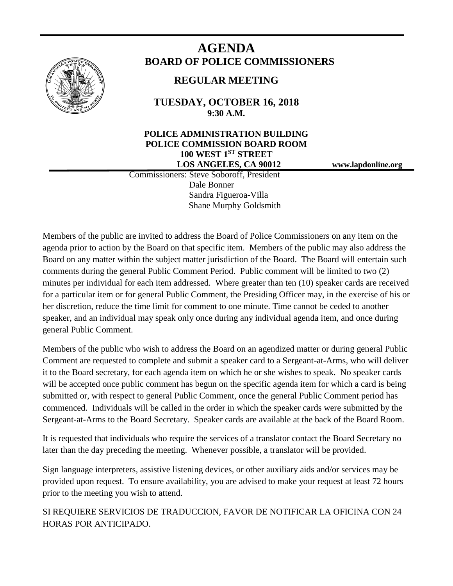

# **AGENDA BOARD OF POLICE COMMISSIONERS**

## **REGULAR MEETING**

**TUESDAY, OCTOBER 16, 2018 9:30 A.M.**

## **POLICE ADMINISTRATION BUILDING POLICE COMMISSION BOARD ROOM 100 WEST 1ST STREET LOS ANGELES, CA 90012 www.lapdonline.org**

 Commissioners: Steve Soboroff, President Dale Bonner Sandra Figueroa-Villa Shane Murphy Goldsmith

Members of the public are invited to address the Board of Police Commissioners on any item on the agenda prior to action by the Board on that specific item. Members of the public may also address the Board on any matter within the subject matter jurisdiction of the Board. The Board will entertain such comments during the general Public Comment Period. Public comment will be limited to two (2) minutes per individual for each item addressed. Where greater than ten (10) speaker cards are received for a particular item or for general Public Comment, the Presiding Officer may, in the exercise of his or her discretion, reduce the time limit for comment to one minute. Time cannot be ceded to another speaker, and an individual may speak only once during any individual agenda item, and once during general Public Comment.

Members of the public who wish to address the Board on an agendized matter or during general Public Comment are requested to complete and submit a speaker card to a Sergeant-at-Arms, who will deliver it to the Board secretary, for each agenda item on which he or she wishes to speak. No speaker cards will be accepted once public comment has begun on the specific agenda item for which a card is being submitted or, with respect to general Public Comment, once the general Public Comment period has commenced. Individuals will be called in the order in which the speaker cards were submitted by the Sergeant-at-Arms to the Board Secretary. Speaker cards are available at the back of the Board Room.

It is requested that individuals who require the services of a translator contact the Board Secretary no later than the day preceding the meeting. Whenever possible, a translator will be provided.

Sign language interpreters, assistive listening devices, or other auxiliary aids and/or services may be provided upon request. To ensure availability, you are advised to make your request at least 72 hours prior to the meeting you wish to attend.

SI REQUIERE SERVICIOS DE TRADUCCION, FAVOR DE NOTIFICAR LA OFICINA CON 24 HORAS POR ANTICIPADO.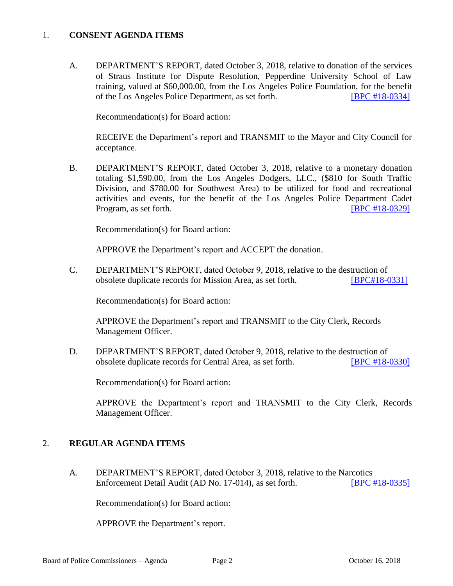## 1. **CONSENT AGENDA ITEMS**

A. DEPARTMENT'S REPORT, dated October 3, 2018, relative to donation of the services of Straus Institute for Dispute Resolution, Pepperdine University School of Law training, valued at \$60,000.00, from the Los Angeles Police Foundation, for the benefit of the Los Angeles Police Department, as set forth. [\[BPC #18-0334\]](http://www.lapdpolicecom.lacity.org/101618/BPC_18-0334.pdf)

Recommendation(s) for Board action:

RECEIVE the Department's report and TRANSMIT to the Mayor and City Council for acceptance.

B. DEPARTMENT'S REPORT, dated October 3, 2018, relative to a monetary donation totaling \$1,590.00, from the Los Angeles Dodgers, LLC., (\$810 for South Traffic Division, and \$780.00 for Southwest Area) to be utilized for food and recreational activities and events, for the benefit of the Los Angeles Police Department Cadet Program, as set forth. **IDPC #18-0329** 

Recommendation(s) for Board action:

APPROVE the Department's report and ACCEPT the donation.

C. DEPARTMENT'S REPORT, dated October 9, 2018, relative to the destruction of obsolete duplicate records for Mission Area, as set forth. [\[BPC#18-0331\]](http://www.lapdpolicecom.lacity.org/101618/BPC_18-0331.pdf)

Recommendation(s) for Board action:

APPROVE the Department's report and TRANSMIT to the City Clerk, Records Management Officer.

D. DEPARTMENT'S REPORT, dated October 9, 2018, relative to the destruction of obsolete duplicate records for Central Area, as set forth. [\[BPC #18-0330\]](http://www.lapdpolicecom.lacity.org/101618/BPC_18-0330.pdf)

Recommendation(s) for Board action:

APPROVE the Department's report and TRANSMIT to the City Clerk, Records Management Officer.

## 2. **REGULAR AGENDA ITEMS**

A. DEPARTMENT'S REPORT, dated October 3, 2018, relative to the Narcotics Enforcement Detail Audit (AD No. 17-014), as set forth. [\[BPC #18-0335\]](http://www.lapdpolicecom.lacity.org/101618/BPC_18-0335.pdf)

Recommendation(s) for Board action:

APPROVE the Department's report.